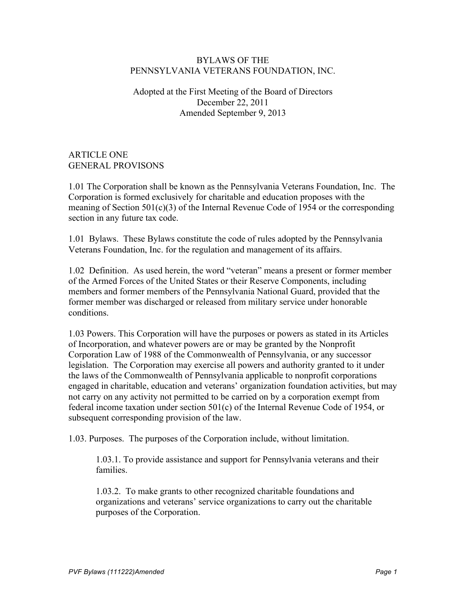#### BYLAWS OF THE PENNSYLVANIA VETERANS FOUNDATION, INC.

## Adopted at the First Meeting of the Board of Directors December 22, 2011 Amended September 9, 2013

ARTICLE ONE GENERAL PROVISONS

1.01 The Corporation shall be known as the Pennsylvania Veterans Foundation, Inc. The Corporation is formed exclusively for charitable and education proposes with the meaning of Section  $501(c)(3)$  of the Internal Revenue Code of 1954 or the corresponding section in any future tax code.

1.01 Bylaws. These Bylaws constitute the code of rules adopted by the Pennsylvania Veterans Foundation, Inc. for the regulation and management of its affairs.

1.02 Definition. As used herein, the word "veteran" means a present or former member of the Armed Forces of the United States or their Reserve Components, including members and former members of the Pennsylvania National Guard, provided that the former member was discharged or released from military service under honorable conditions.

1.03 Powers. This Corporation will have the purposes or powers as stated in its Articles of Incorporation, and whatever powers are or may be granted by the Nonprofit Corporation Law of 1988 of the Commonwealth of Pennsylvania, or any successor legislation. The Corporation may exercise all powers and authority granted to it under the laws of the Commonwealth of Pennsylvania applicable to nonprofit corporations engaged in charitable, education and veterans' organization foundation activities, but may not carry on any activity not permitted to be carried on by a corporation exempt from federal income taxation under section 501(c) of the Internal Revenue Code of 1954, or subsequent corresponding provision of the law.

1.03. Purposes. The purposes of the Corporation include, without limitation.

1.03.1. To provide assistance and support for Pennsylvania veterans and their families.

1.03.2. To make grants to other recognized charitable foundations and organizations and veterans' service organizations to carry out the charitable purposes of the Corporation.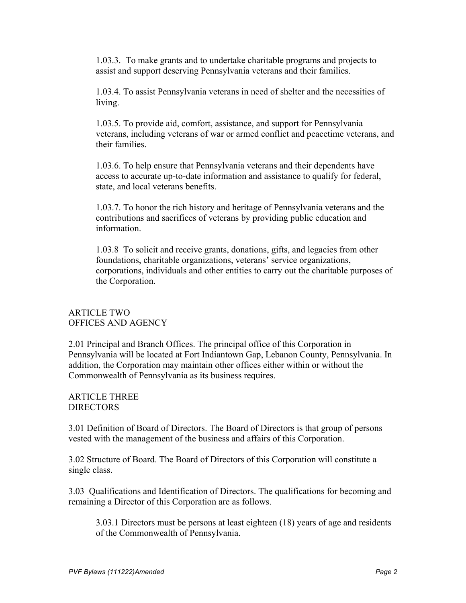1.03.3. To make grants and to undertake charitable programs and projects to assist and support deserving Pennsylvania veterans and their families.

1.03.4. To assist Pennsylvania veterans in need of shelter and the necessities of living.

1.03.5. To provide aid, comfort, assistance, and support for Pennsylvania veterans, including veterans of war or armed conflict and peacetime veterans, and their families.

1.03.6. To help ensure that Pennsylvania veterans and their dependents have access to accurate up-to-date information and assistance to qualify for federal, state, and local veterans benefits.

1.03.7. To honor the rich history and heritage of Pennsylvania veterans and the contributions and sacrifices of veterans by providing public education and information.

1.03.8 To solicit and receive grants, donations, gifts, and legacies from other foundations, charitable organizations, veterans' service organizations, corporations, individuals and other entities to carry out the charitable purposes of the Corporation.

#### ARTICLE TWO OFFICES AND AGENCY

2.01 Principal and Branch Offices. The principal office of this Corporation in Pennsylvania will be located at Fort Indiantown Gap, Lebanon County, Pennsylvania. In addition, the Corporation may maintain other offices either within or without the Commonwealth of Pennsylvania as its business requires.

ARTICLE THREE DIRECTORS

3.01 Definition of Board of Directors. The Board of Directors is that group of persons vested with the management of the business and affairs of this Corporation.

3.02 Structure of Board. The Board of Directors of this Corporation will constitute a single class.

3.03 Qualifications and Identification of Directors. The qualifications for becoming and remaining a Director of this Corporation are as follows.

3.03.1 Directors must be persons at least eighteen (18) years of age and residents of the Commonwealth of Pennsylvania.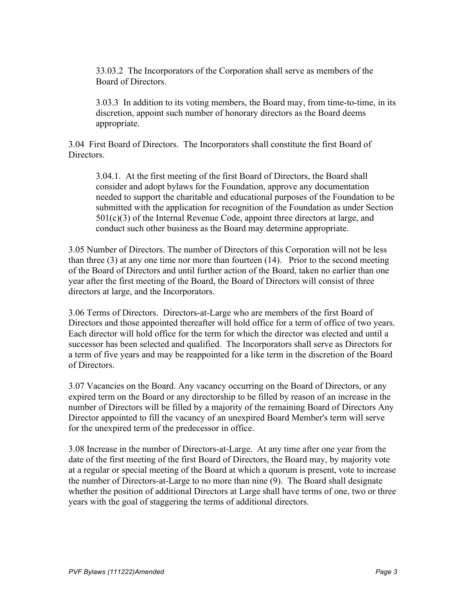33.03.2 The Incorporators of the Corporation shall serve as members of the Board of Directors.

3.03.3 In addition to its voting members, the Board may, from time-to-time, in its discretion, appoint such number of honorary directors as the Board deems appropriate.

3.04 First Board of Directors. The Incorporators shall constitute the first Board of Directors.

3.04.1. At the first meeting of the first Board of Directors, the Board shall consider and adopt bylaws for the Foundation, approve any documentation needed to support the charitable and educational purposes of the Foundation to be submitted with the application for recognition of the Foundation as under Section  $501(c)(3)$  of the Internal Revenue Code, appoint three directors at large, and conduct such other business as the Board may determine appropriate.

3.05 Number of Directors. The number of Directors of this Corporation will not be less than three (3) at any one time nor more than fourteen (14). Prior to the second meeting of the Board of Directors and until further action of the Board, taken no earlier than one year after the first meeting of the Board, the Board of Directors will consist of three directors at large, and the Incorporators.

3.06 Terms of Directors. Directors-at-Large who are members of the first Board of Directors and those appointed thereafter will hold office for a term of office of two years. Each director will hold office for the term for which the director was elected and until a successor has been selected and qualified. The Incorporators shall serve as Directors for a term of five years and may be reappointed for a like term in the discretion of the Board of Directors.

3.07 Vacancies on the Board. Any vacancy occurring on the Board of Directors, or any expired term on the Board or any directorship to be filled by reason of an increase in the number of Directors will be filled by a majority of the remaining Board of Directors Any Director appointed to fill the vacancy of an unexpired Board Member's term will serve for the unexpired term of the predecessor in office.

3.08 Increase in the number of Directors-at-Large. At any time after one year from the date of the first meeting of the first Board of Directors, the Board may, by majority vote at a regular or special meeting of the Board at which a quorum is present, vote to increase the number of Directors-at-Large to no more than nine (9). The Board shall designate whether the position of additional Directors at Large shall have terms of one, two or three years with the goal of staggering the terms of additional directors.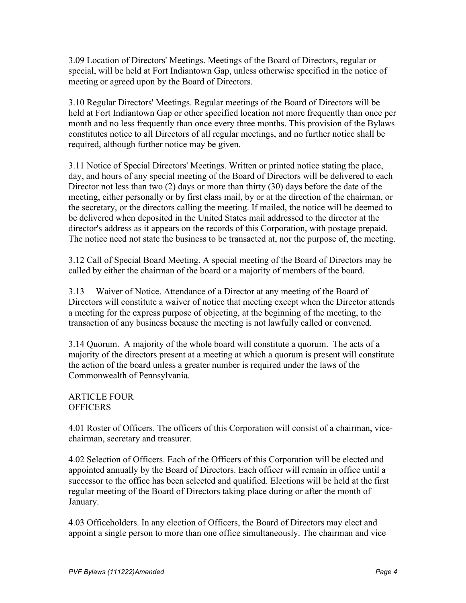3.09 Location of Directors' Meetings. Meetings of the Board of Directors, regular or special, will be held at Fort Indiantown Gap, unless otherwise specified in the notice of meeting or agreed upon by the Board of Directors.

3.10 Regular Directors' Meetings. Regular meetings of the Board of Directors will be held at Fort Indiantown Gap or other specified location not more frequently than once per month and no less frequently than once every three months. This provision of the Bylaws constitutes notice to all Directors of all regular meetings, and no further notice shall be required, although further notice may be given.

3.11 Notice of Special Directors' Meetings. Written or printed notice stating the place, day, and hours of any special meeting of the Board of Directors will be delivered to each Director not less than two (2) days or more than thirty (30) days before the date of the meeting, either personally or by first class mail, by or at the direction of the chairman, or the secretary, or the directors calling the meeting. If mailed, the notice will be deemed to be delivered when deposited in the United States mail addressed to the director at the director's address as it appears on the records of this Corporation, with postage prepaid. The notice need not state the business to be transacted at, nor the purpose of, the meeting.

3.12 Call of Special Board Meeting. A special meeting of the Board of Directors may be called by either the chairman of the board or a majority of members of the board.

3.13 Waiver of Notice. Attendance of a Director at any meeting of the Board of Directors will constitute a waiver of notice that meeting except when the Director attends a meeting for the express purpose of objecting, at the beginning of the meeting, to the transaction of any business because the meeting is not lawfully called or convened.

3.14 Quorum. A majority of the whole board will constitute a quorum. The acts of a majority of the directors present at a meeting at which a quorum is present will constitute the action of the board unless a greater number is required under the laws of the Commonwealth of Pennsylvania.

# ARTICLE FOUR **OFFICERS**

4.01 Roster of Officers. The officers of this Corporation will consist of a chairman, vicechairman, secretary and treasurer.

4.02 Selection of Officers. Each of the Officers of this Corporation will be elected and appointed annually by the Board of Directors. Each officer will remain in office until a successor to the office has been selected and qualified. Elections will be held at the first regular meeting of the Board of Directors taking place during or after the month of January.

4.03 Officeholders. In any election of Officers, the Board of Directors may elect and appoint a single person to more than one office simultaneously. The chairman and vice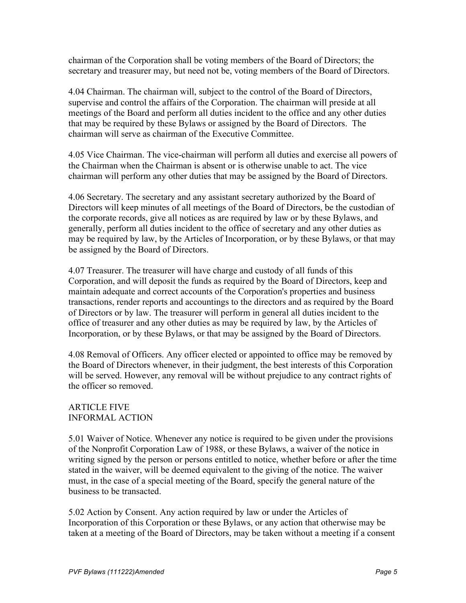chairman of the Corporation shall be voting members of the Board of Directors; the secretary and treasurer may, but need not be, voting members of the Board of Directors.

4.04 Chairman. The chairman will, subject to the control of the Board of Directors, supervise and control the affairs of the Corporation. The chairman will preside at all meetings of the Board and perform all duties incident to the office and any other duties that may be required by these Bylaws or assigned by the Board of Directors. The chairman will serve as chairman of the Executive Committee.

4.05 Vice Chairman. The vice-chairman will perform all duties and exercise all powers of the Chairman when the Chairman is absent or is otherwise unable to act. The vice chairman will perform any other duties that may be assigned by the Board of Directors.

4.06 Secretary. The secretary and any assistant secretary authorized by the Board of Directors will keep minutes of all meetings of the Board of Directors, be the custodian of the corporate records, give all notices as are required by law or by these Bylaws, and generally, perform all duties incident to the office of secretary and any other duties as may be required by law, by the Articles of Incorporation, or by these Bylaws, or that may be assigned by the Board of Directors.

4.07 Treasurer. The treasurer will have charge and custody of all funds of this Corporation, and will deposit the funds as required by the Board of Directors, keep and maintain adequate and correct accounts of the Corporation's properties and business transactions, render reports and accountings to the directors and as required by the Board of Directors or by law. The treasurer will perform in general all duties incident to the office of treasurer and any other duties as may be required by law, by the Articles of Incorporation, or by these Bylaws, or that may be assigned by the Board of Directors.

4.08 Removal of Officers. Any officer elected or appointed to office may be removed by the Board of Directors whenever, in their judgment, the best interests of this Corporation will be served. However, any removal will be without prejudice to any contract rights of the officer so removed.

# ARTICLE FIVE INFORMAL ACTION

5.01 Waiver of Notice. Whenever any notice is required to be given under the provisions of the Nonprofit Corporation Law of 1988, or these Bylaws, a waiver of the notice in writing signed by the person or persons entitled to notice, whether before or after the time stated in the waiver, will be deemed equivalent to the giving of the notice. The waiver must, in the case of a special meeting of the Board, specify the general nature of the business to be transacted.

5.02 Action by Consent. Any action required by law or under the Articles of Incorporation of this Corporation or these Bylaws, or any action that otherwise may be taken at a meeting of the Board of Directors, may be taken without a meeting if a consent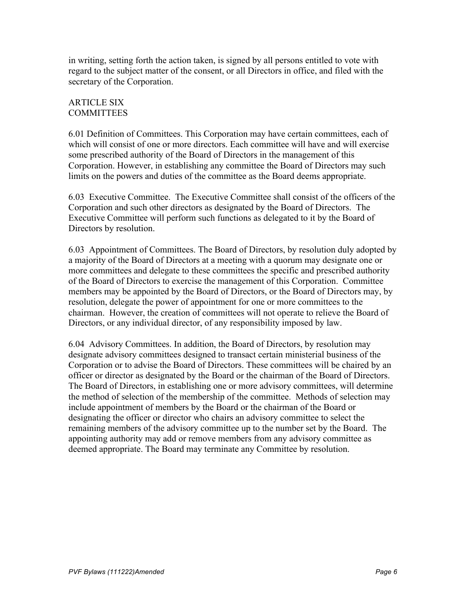in writing, setting forth the action taken, is signed by all persons entitled to vote with regard to the subject matter of the consent, or all Directors in office, and filed with the secretary of the Corporation.

## ARTICLE SIX **COMMITTEES**

6.01 Definition of Committees. This Corporation may have certain committees, each of which will consist of one or more directors. Each committee will have and will exercise some prescribed authority of the Board of Directors in the management of this Corporation. However, in establishing any committee the Board of Directors may such limits on the powers and duties of the committee as the Board deems appropriate.

6.03 Executive Committee. The Executive Committee shall consist of the officers of the Corporation and such other directors as designated by the Board of Directors. The Executive Committee will perform such functions as delegated to it by the Board of Directors by resolution.

6.03 Appointment of Committees. The Board of Directors, by resolution duly adopted by a majority of the Board of Directors at a meeting with a quorum may designate one or more committees and delegate to these committees the specific and prescribed authority of the Board of Directors to exercise the management of this Corporation. Committee members may be appointed by the Board of Directors, or the Board of Directors may, by resolution, delegate the power of appointment for one or more committees to the chairman. However, the creation of committees will not operate to relieve the Board of Directors, or any individual director, of any responsibility imposed by law.

6.04 Advisory Committees. In addition, the Board of Directors, by resolution may designate advisory committees designed to transact certain ministerial business of the Corporation or to advise the Board of Directors. These committees will be chaired by an officer or director as designated by the Board or the chairman of the Board of Directors. The Board of Directors, in establishing one or more advisory committees, will determine the method of selection of the membership of the committee. Methods of selection may include appointment of members by the Board or the chairman of the Board or designating the officer or director who chairs an advisory committee to select the remaining members of the advisory committee up to the number set by the Board. The appointing authority may add or remove members from any advisory committee as deemed appropriate. The Board may terminate any Committee by resolution.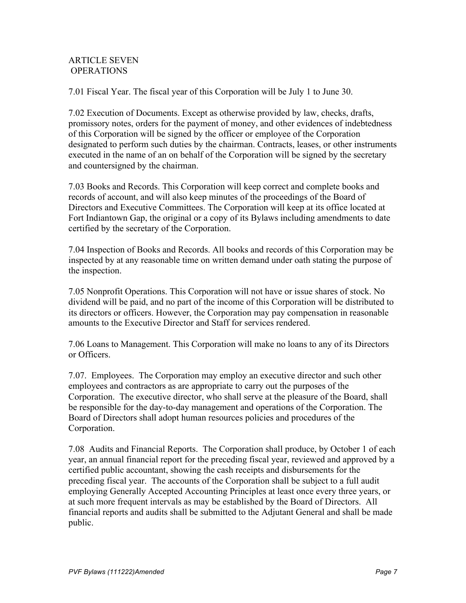# ARTICLE SEVEN OPERATIONS

7.01 Fiscal Year. The fiscal year of this Corporation will be July 1 to June 30.

7.02 Execution of Documents. Except as otherwise provided by law, checks, drafts, promissory notes, orders for the payment of money, and other evidences of indebtedness of this Corporation will be signed by the officer or employee of the Corporation designated to perform such duties by the chairman. Contracts, leases, or other instruments executed in the name of an on behalf of the Corporation will be signed by the secretary and countersigned by the chairman.

7.03 Books and Records. This Corporation will keep correct and complete books and records of account, and will also keep minutes of the proceedings of the Board of Directors and Executive Committees. The Corporation will keep at its office located at Fort Indiantown Gap, the original or a copy of its Bylaws including amendments to date certified by the secretary of the Corporation.

7.04 Inspection of Books and Records. All books and records of this Corporation may be inspected by at any reasonable time on written demand under oath stating the purpose of the inspection.

7.05 Nonprofit Operations. This Corporation will not have or issue shares of stock. No dividend will be paid, and no part of the income of this Corporation will be distributed to its directors or officers. However, the Corporation may pay compensation in reasonable amounts to the Executive Director and Staff for services rendered.

7.06 Loans to Management. This Corporation will make no loans to any of its Directors or Officers.

7.07. Employees. The Corporation may employ an executive director and such other employees and contractors as are appropriate to carry out the purposes of the Corporation. The executive director, who shall serve at the pleasure of the Board, shall be responsible for the day-to-day management and operations of the Corporation. The Board of Directors shall adopt human resources policies and procedures of the Corporation.

7.08 Audits and Financial Reports. The Corporation shall produce, by October 1 of each year, an annual financial report for the preceding fiscal year, reviewed and approved by a certified public accountant, showing the cash receipts and disbursements for the preceding fiscal year. The accounts of the Corporation shall be subject to a full audit employing Generally Accepted Accounting Principles at least once every three years, or at such more frequent intervals as may be established by the Board of Directors. All financial reports and audits shall be submitted to the Adjutant General and shall be made public.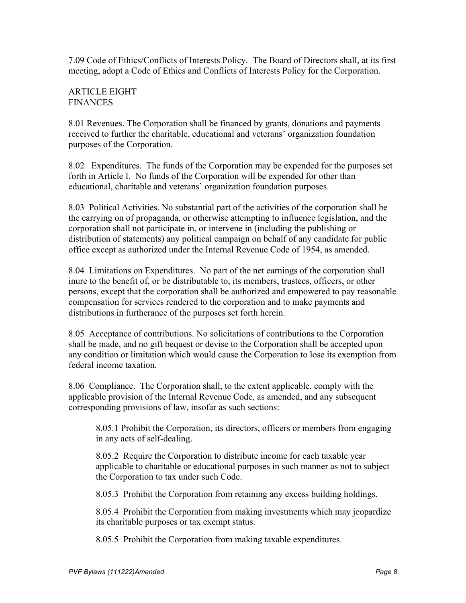7.09 Code of Ethics/Conflicts of Interests Policy. The Board of Directors shall, at its first meeting, adopt a Code of Ethics and Conflicts of Interests Policy for the Corporation.

### ARTICLE EIGHT **FINANCES**

8.01 Revenues. The Corporation shall be financed by grants, donations and payments received to further the charitable, educational and veterans' organization foundation purposes of the Corporation.

8.02 Expenditures. The funds of the Corporation may be expended for the purposes set forth in Article I. No funds of the Corporation will be expended for other than educational, charitable and veterans' organization foundation purposes.

8.03 Political Activities. No substantial part of the activities of the corporation shall be the carrying on of propaganda, or otherwise attempting to influence legislation, and the corporation shall not participate in, or intervene in (including the publishing or distribution of statements) any political campaign on behalf of any candidate for public office except as authorized under the Internal Revenue Code of 1954, as amended.

8.04 Limitations on Expenditures. No part of the net earnings of the corporation shall inure to the benefit of, or be distributable to, its members, trustees, officers, or other persons, except that the corporation shall be authorized and empowered to pay reasonable compensation for services rendered to the corporation and to make payments and distributions in furtherance of the purposes set forth herein.

8.05 Acceptance of contributions. No solicitations of contributions to the Corporation shall be made, and no gift bequest or devise to the Corporation shall be accepted upon any condition or limitation which would cause the Corporation to lose its exemption from federal income taxation.

8.06 Compliance. The Corporation shall, to the extent applicable, comply with the applicable provision of the Internal Revenue Code, as amended, and any subsequent corresponding provisions of law, insofar as such sections:

8.05.1 Prohibit the Corporation, its directors, officers or members from engaging in any acts of self-dealing.

8.05.2 Require the Corporation to distribute income for each taxable year applicable to charitable or educational purposes in such manner as not to subject the Corporation to tax under such Code.

8.05.3 Prohibit the Corporation from retaining any excess building holdings.

8.05.4 Prohibit the Corporation from making investments which may jeopardize its charitable purposes or tax exempt status.

8.05.5 Prohibit the Corporation from making taxable expenditures.